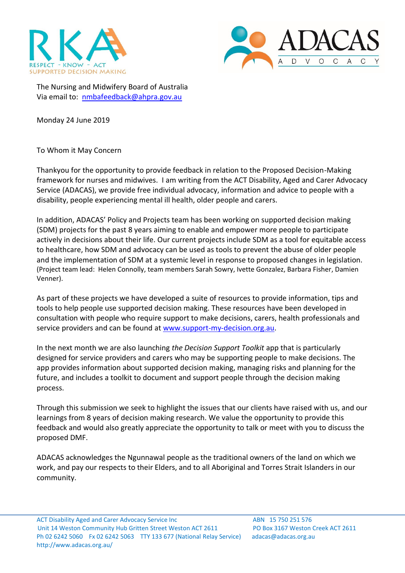



The Nursing and Midwifery Board of Australia Via email to: [nmbafeedback@ahpra.gov.au](mailto:nmbafeedback@ahpra.gov.au)

Monday 24 June 2019

To Whom it May Concern

Thankyou for the opportunity to provide feedback in relation to the Proposed Decision-Making framework for nurses and midwives. I am writing from the ACT Disability, Aged and Carer Advocacy Service (ADACAS), we provide free individual advocacy, information and advice to people with a disability, people experiencing mental ill health, older people and carers.

In addition, ADACAS' Policy and Projects team has been working on supported decision making (SDM) projects for the past 8 years aiming to enable and empower more people to participate actively in decisions about their life. Our current projects include SDM as a tool for equitable access to healthcare, how SDM and advocacy can be used as tools to prevent the abuse of older people and the implementation of SDM at a systemic level in response to proposed changes in legislation. (Project team lead: Helen Connolly, team members Sarah Sowry, Ivette Gonzalez, Barbara Fisher, Damien Venner).

As part of these projects we have developed a suite of resources to provide information, tips and tools to help people use supported decision making. These resources have been developed in consultation with people who require support to make decisions, carers, health professionals and service providers and can be found at [www.support-my-decision.org.au.](http://www.support-my-decision.org.au/)

In the next month we are also launching *the Decision Support Toolkit* app that is particularly designed for service providers and carers who may be supporting people to make decisions. The app provides information about supported decision making, managing risks and planning for the future, and includes a toolkit to document and support people through the decision making process.

Through this submission we seek to highlight the issues that our clients have raised with us, and our learnings from 8 years of decision making research. We value the opportunity to provide this feedback and would also greatly appreciate the opportunity to talk or meet with you to discuss the proposed DMF.

ADACAS acknowledges the Ngunnawal people as the traditional owners of the land on which we work, and pay our respects to their Elders, and to all Aboriginal and Torres Strait Islanders in our community.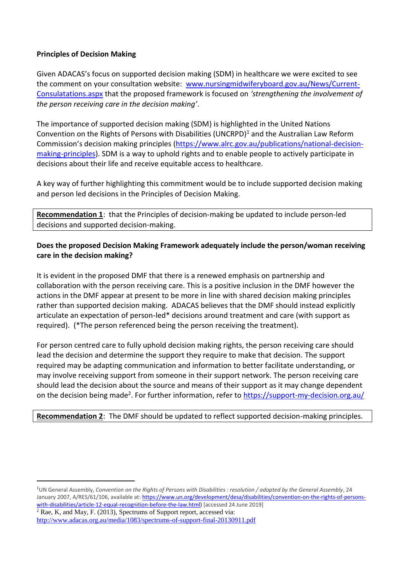## **Principles of Decision Making**

Given ADACAS's focus on supported decision making (SDM) in healthcare we were excited to see the comment on your consultation website: [www.nursingmidwiferyboard.gov.au/News/Current-](http://www.nursingmidwiferyboard.gov.au/News/Current-Consulatations.aspx)[Consulatations.aspx](http://www.nursingmidwiferyboard.gov.au/News/Current-Consulatations.aspx) that the proposed framework is focused on *'strengthening the involvement of the person receiving care in the decision making'*.

The importance of supported decision making (SDM) is highlighted in the United Nations Convention on the Rights of Persons with Disabilities (UNCRPD)<sup>1</sup> and the Australian Law Reform Commission's decision making principles [\(https://www.alrc.gov.au/publications/national-decision](https://www.alrc.gov.au/publications/national-decision-making-principles)[making-principles\)](https://www.alrc.gov.au/publications/national-decision-making-principles). SDM is a way to uphold rights and to enable people to actively participate in decisions about their life and receive equitable access to healthcare.

A key way of further highlighting this commitment would be to include supported decision making and person led decisions in the Principles of Decision Making.

**Recommendation 1**: that the Principles of decision-making be updated to include person-led decisions and supported decision-making.

## **Does the proposed Decision Making Framework adequately include the person/woman receiving care in the decision making?**

It is evident in the proposed DMF that there is a renewed emphasis on partnership and collaboration with the person receiving care. This is a positive inclusion in the DMF however the actions in the DMF appear at present to be more in line with shared decision making principles rather than supported decision making. ADACAS believes that the DMF should instead explicitly articulate an expectation of person-led\* decisions around treatment and care (with support as required). (\*The person referenced being the person receiving the treatment).

For person centred care to fully uphold decision making rights, the person receiving care should lead the decision and determine the support they require to make that decision. The support required may be adapting communication and information to better facilitate understanding, or may involve receiving support from someone in their support network. The person receiving care should lead the decision about the source and means of their support as it may change dependent on the decision being made<sup>2</sup>. For further information, refer to<https://support-my-decision.org.au/>

## **Recommendation 2**: The DMF should be updated to reflect supported decision-making principles.

<sup>1</sup>UN General Assembly, *Convention on the Rights of Persons with Disabilities : resolution / adopted by the General Assembly*, 24 January 2007, A/RES/61/106, available at: [https://www.un.org/development/desa/disabilities/convention-on-the-rights-of-persons](https://www.un.org/development/desa/disabilities/convention-on-the-rights-of-persons-with-disabilities/article-12-equal-recognition-before-the-law.html)[with-disabilities/article-12-equal-recognition-before-the-law.html\)](https://www.un.org/development/desa/disabilities/convention-on-the-rights-of-persons-with-disabilities/article-12-equal-recognition-before-the-law.html) [accessed 24 June 2019]  $2$  Rae, K, and May, F. (2013), Spectrums of Support report, accessed via:

<http://www.adacas.org.au/media/1083/spectrums-of-support-final-20130911.pdf>

 $\overline{a}$